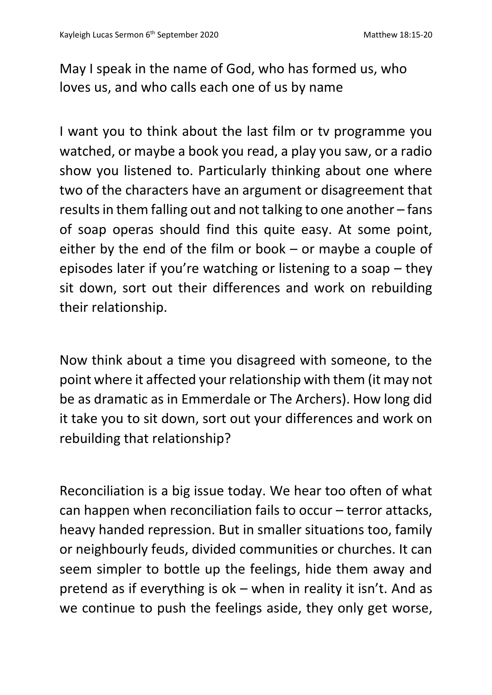May I speak in the name of God, who has formed us, who loves us, and who calls each one of us by name

I want you to think about the last film or tv programme you watched, or maybe a book you read, a play you saw, or a radio show you listened to. Particularly thinking about one where two of the characters have an argument or disagreement that results in them falling out and not talking to one another – fans of soap operas should find this quite easy. At some point, either by the end of the film or book – or maybe a couple of episodes later if you're watching or listening to a soap – they sit down, sort out their differences and work on rebuilding their relationship.

Now think about a time you disagreed with someone, to the point where it affected your relationship with them (it may not be as dramatic as in Emmerdale or The Archers). How long did it take you to sit down, sort out your differences and work on rebuilding that relationship?

Reconciliation is a big issue today. We hear too often of what can happen when reconciliation fails to occur – terror attacks, heavy handed repression. But in smaller situations too, family or neighbourly feuds, divided communities or churches. It can seem simpler to bottle up the feelings, hide them away and pretend as if everything is ok – when in reality it isn't. And as we continue to push the feelings aside, they only get worse,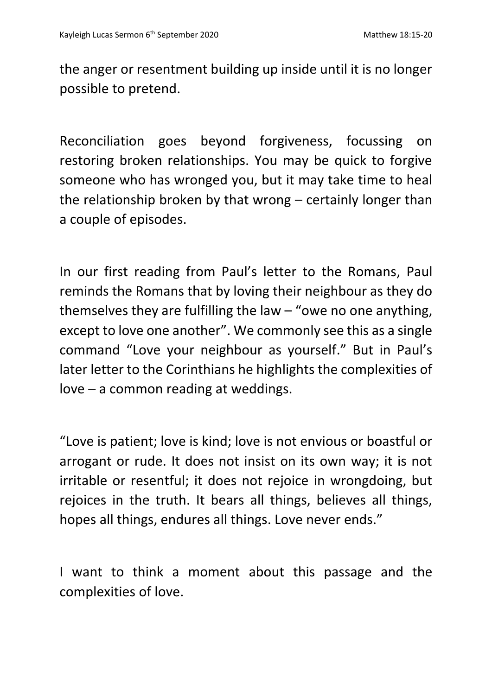the anger or resentment building up inside until it is no longer possible to pretend.

Reconciliation goes beyond forgiveness, focussing on restoring broken relationships. You may be quick to forgive someone who has wronged you, but it may take time to heal the relationship broken by that wrong – certainly longer than a couple of episodes.

In our first reading from Paul's letter to the Romans, Paul reminds the Romans that by loving their neighbour as they do themselves they are fulfilling the law  $-$  "owe no one anything, except to love one another". We commonly see this as a single command "Love your neighbour as yourself." But in Paul's later letter to the Corinthians he highlights the complexities of love – a common reading at weddings.

"Love is patient; love is kind; love is not envious or boastful or arrogant or rude. It does not insist on its own way; it is not irritable or resentful; it does not rejoice in wrongdoing, but rejoices in the truth. It bears all things, believes all things, hopes all things, endures all things. Love never ends."

I want to think a moment about this passage and the complexities of love.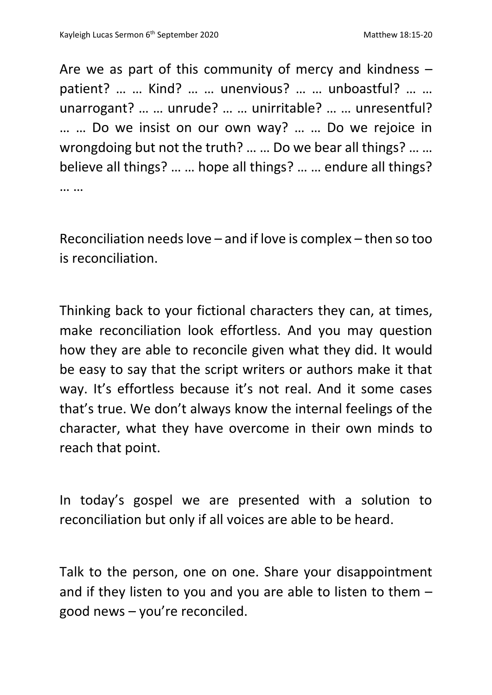Are we as part of this community of mercy and kindness – patient? … … Kind? … … unenvious? … … unboastful? … … unarrogant? … … unrude? … … unirritable? … … unresentful? … … Do we insist on our own way? … … Do we rejoice in wrongdoing but not the truth? … … Do we bear all things? … … believe all things? … … hope all things? … … endure all things? … …

Reconciliation needs love – and if love is complex – then so too is reconciliation.

Thinking back to your fictional characters they can, at times, make reconciliation look effortless. And you may question how they are able to reconcile given what they did. It would be easy to say that the script writers or authors make it that way. It's effortless because it's not real. And it some cases that's true. We don't always know the internal feelings of the character, what they have overcome in their own minds to reach that point.

In today's gospel we are presented with a solution to reconciliation but only if all voices are able to be heard.

Talk to the person, one on one. Share your disappointment and if they listen to you and you are able to listen to them – good news – you're reconciled.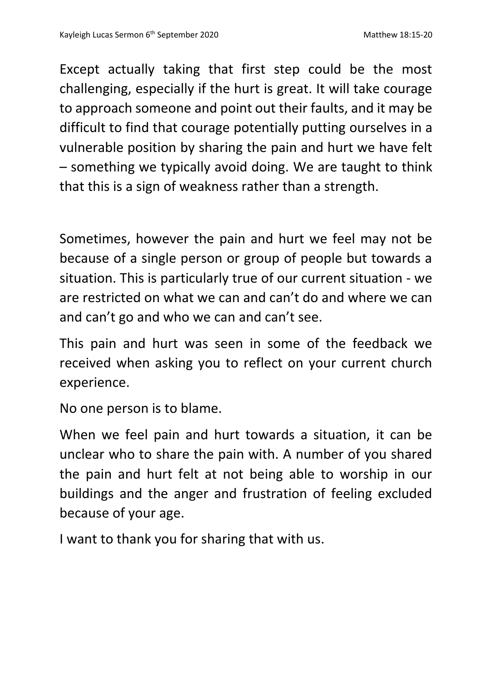Except actually taking that first step could be the most challenging, especially if the hurt is great. It will take courage to approach someone and point out their faults, and it may be difficult to find that courage potentially putting ourselves in a vulnerable position by sharing the pain and hurt we have felt – something we typically avoid doing. We are taught to think that this is a sign of weakness rather than a strength.

Sometimes, however the pain and hurt we feel may not be because of a single person or group of people but towards a situation. This is particularly true of our current situation - we are restricted on what we can and can't do and where we can and can't go and who we can and can't see.

This pain and hurt was seen in some of the feedback we received when asking you to reflect on your current church experience.

No one person is to blame.

When we feel pain and hurt towards a situation, it can be unclear who to share the pain with. A number of you shared the pain and hurt felt at not being able to worship in our buildings and the anger and frustration of feeling excluded because of your age.

I want to thank you for sharing that with us.